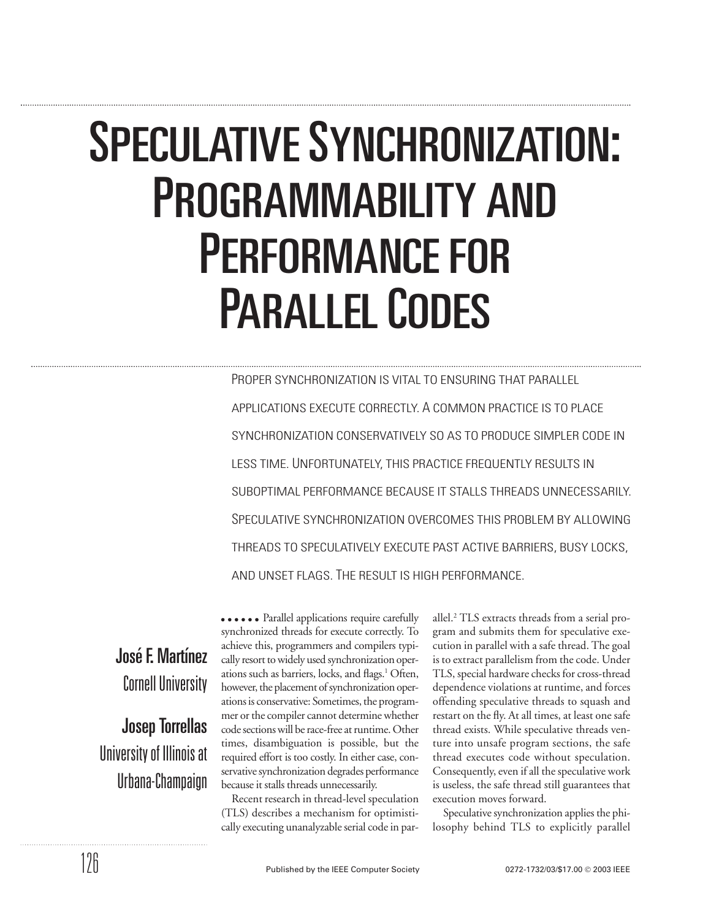# SPECULATIVE SYNCHRONIZATION: PROGRAMMABILITY AND PERFORMANCE FOR **PARALLEL CODES**

PROPER SYNCHRONIZATION IS VITAL TO ENSURING THAT PARALLEL APPLICATIONS EXECUTE CORRECTLY. A COMMON PRACTICE IS TO PLACE SYNCHRONIZATION CONSERVATIVELY SO AS TO PRODUCE SIMPLER CODE IN LESS TIME. UNFORTUNATELY, THIS PRACTICE FREQUENTLY RESULTS IN SUBOPTIMAL PERFORMANCE BECAUSE IT STALLS THREADS UNNECESSARILY. SPECULATIVE SYNCHRONIZATION OVERCOMES THIS PROBLEM BY ALLOWING THREADS TO SPECULATIVELY EXECUTE PAST ACTIVE BARRIERS, BUSY LOCKS, AND UNSET FLAGS. THE RESULT IS HIGH PERFORMANCE.

José F. Martínez Cornell University Josep Torrellas University of Illinois at Urbana-Champaign •••••• Parallel applications require carefully synchronized threads for execute correctly. To achieve this, programmers and compilers typically resort to widely used synchronization operations such as barriers, locks, and flags.<sup>1</sup> Often, however, the placement of synchronization operations is conservative: Sometimes, the programmer or the compiler cannot determine whether code sections will be race-free at runtime. Other times, disambiguation is possible, but the required effort is too costly. In either case, conservative synchronization degrades performance because it stalls threads unnecessarily.

Recent research in thread-level speculation (TLS) describes a mechanism for optimistically executing unanalyzable serial code in parallel.2 TLS extracts threads from a serial program and submits them for speculative execution in parallel with a safe thread. The goal is to extract parallelism from the code. Under TLS, special hardware checks for cross-thread dependence violations at runtime, and forces offending speculative threads to squash and restart on the fly. At all times, at least one safe thread exists. While speculative threads venture into unsafe program sections, the safe thread executes code without speculation. Consequently, even if all the speculative work is useless, the safe thread still guarantees that execution moves forward.

Speculative synchronization applies the philosophy behind TLS to explicitly parallel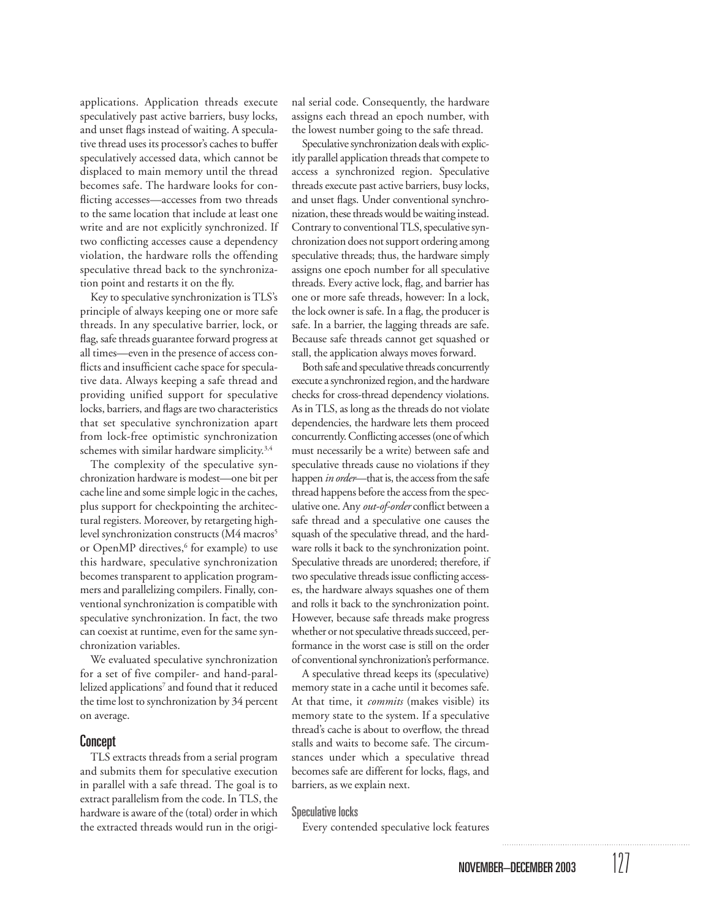applications. Application threads execute speculatively past active barriers, busy locks, and unset flags instead of waiting. A speculative thread uses its processor's caches to buffer speculatively accessed data, which cannot be displaced to main memory until the thread becomes safe. The hardware looks for conflicting accesses—accesses from two threads to the same location that include at least one write and are not explicitly synchronized. If two conflicting accesses cause a dependency violation, the hardware rolls the offending speculative thread back to the synchronization point and restarts it on the fly.

Key to speculative synchronization is TLS's principle of always keeping one or more safe threads. In any speculative barrier, lock, or flag, safe threads guarantee forward progress at all times—even in the presence of access conflicts and insufficient cache space for speculative data. Always keeping a safe thread and providing unified support for speculative locks, barriers, and flags are two characteristics that set speculative synchronization apart from lock-free optimistic synchronization schemes with similar hardware simplicity.<sup>3,4</sup>

The complexity of the speculative synchronization hardware is modest—one bit per cache line and some simple logic in the caches, plus support for checkpointing the architectural registers. Moreover, by retargeting highlevel synchronization constructs (M4 macros<sup>5</sup> or OpenMP directives,<sup>6</sup> for example) to use this hardware, speculative synchronization becomes transparent to application programmers and parallelizing compilers. Finally, conventional synchronization is compatible with speculative synchronization. In fact, the two can coexist at runtime, even for the same synchronization variables.

We evaluated speculative synchronization for a set of five compiler- and hand-parallelized applications<sup>7</sup> and found that it reduced the time lost to synchronization by 34 percent on average.

## Concept

TLS extracts threads from a serial program and submits them for speculative execution in parallel with a safe thread. The goal is to extract parallelism from the code. In TLS, the hardware is aware of the (total) order in which the extracted threads would run in the original serial code. Consequently, the hardware assigns each thread an epoch number, with the lowest number going to the safe thread.

Speculative synchronization deals with explicitly parallel application threads that compete to access a synchronized region. Speculative threads execute past active barriers, busy locks, and unset flags. Under conventional synchronization, these threads would be waiting instead. Contrary to conventional TLS, speculative synchronization does not support ordering among speculative threads; thus, the hardware simply assigns one epoch number for all speculative threads. Every active lock, flag, and barrier has one or more safe threads, however: In a lock, the lock owner is safe. In a flag, the producer is safe. In a barrier, the lagging threads are safe. Because safe threads cannot get squashed or stall, the application always moves forward.

Both safe and speculative threads concurrently execute a synchronized region, and the hardware checks for cross-thread dependency violations. As in TLS, as long as the threads do not violate dependencies, the hardware lets them proceed concurrently. Conflicting accesses (one of which must necessarily be a write) between safe and speculative threads cause no violations if they happen *in order*—that is, the access from the safe thread happens before the access from the speculative one. Any *out-of-order* conflict between a safe thread and a speculative one causes the squash of the speculative thread, and the hardware rolls it back to the synchronization point. Speculative threads are unordered; therefore, if two speculative threads issue conflicting accesses, the hardware always squashes one of them and rolls it back to the synchronization point. However, because safe threads make progress whether or not speculative threads succeed, performance in the worst case is still on the order of conventional synchronization's performance.

A speculative thread keeps its (speculative) memory state in a cache until it becomes safe. At that time, it *commits* (makes visible) its memory state to the system. If a speculative thread's cache is about to overflow, the thread stalls and waits to become safe. The circumstances under which a speculative thread becomes safe are different for locks, flags, and barriers, as we explain next.

### Speculative locks

Every contended speculative lock features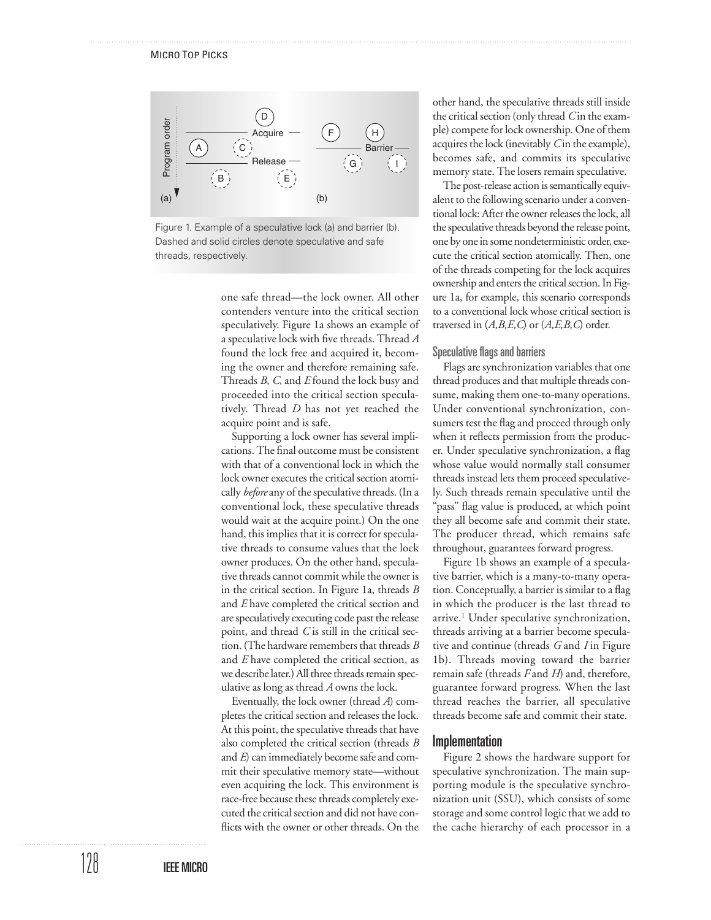#### MICRO TOP PICKS



Figure 1. Example of a speculative lock (a) and barrier (b). Dashed and solid circles denote speculative and safe threads, respectively.

one safe thread—the lock owner. All other contenders venture into the critical section speculatively. Figure 1a shows an example of a speculative lock with five threads. Thread *A* found the lock free and acquired it, becoming the owner and therefore remaining safe. Threads *B*, *C*, and *E* found the lock busy and proceeded into the critical section speculatively. Thread *D* has not yet reached the acquire point and is safe.

Supporting a lock owner has several implications. The final outcome must be consistent with that of a conventional lock in which the lock owner executes the critical section atomically *before* any of the speculative threads. (In a conventional lock, these speculative threads would wait at the acquire point.) On the one hand, this implies that it is correct for speculative threads to consume values that the lock owner produces. On the other hand, speculative threads cannot commit while the owner is in the critical section. In Figure 1a, threads *B* and *E* have completed the critical section and are speculatively executing code past the release point, and thread *C* is still in the critical section. (The hardware remembers that threads *B* and *E* have completed the critical section, as we describe later.) All three threads remain speculative as long as thread *A* owns the lock.

Eventually, the lock owner (thread *A*) completes the critical section and releases the lock. At this point, the speculative threads that have also completed the critical section (threads *B* and *E*) can immediately become safe and commit their speculative memory state—without even acquiring the lock. This environment is race-free because these threads completely executed the critical section and did not have conflicts with the owner or other threads. On the

other hand, the speculative threads still inside the critical section (only thread *C* in the example) compete for lock ownership. One of them acquires the lock (inevitably *C* in the example), becomes safe, and commits its speculative memory state. The losers remain speculative.

The post-release action is semantically equivalent to the following scenario under a conventional lock: After the owner releases the lock, all the speculative threads beyond the release point, one by one in some nondeterministic order, execute the critical section atomically. Then, one of the threads competing for the lock acquires ownership and enters the critical section. In Figure 1a, for example, this scenario corresponds to a conventional lock whose critical section is traversed in (*A,B,E,C*) or (*A,E,B,C*) order.

# Speculative flags and barriers

Flags are synchronization variables that one thread produces and that multiple threads consume, making them one-to-many operations. Under conventional synchronization, consumers test the flag and proceed through only when it reflects permission from the producer. Under speculative synchronization, a flag whose value would normally stall consumer threads instead lets them proceed speculatively. Such threads remain speculative until the "pass" flag value is produced, at which point they all become safe and commit their state. The producer thread, which remains safe throughout, guarantees forward progress.

Figure 1b shows an example of a speculative barrier, which is a many-to-many operation. Conceptually, a barrier is similar to a flag in which the producer is the last thread to arrive.1 Under speculative synchronization, threads arriving at a barrier become speculative and continue (threads *G* and *I* in Figure 1b). Threads moving toward the barrier remain safe (threads *F* and *H*) and, therefore, guarantee forward progress. When the last thread reaches the barrier, all speculative threads become safe and commit their state.

## Implementation

Figure 2 shows the hardware support for speculative synchronization. The main supporting module is the speculative synchronization unit (SSU), which consists of some storage and some control logic that we add to the cache hierarchy of each processor in a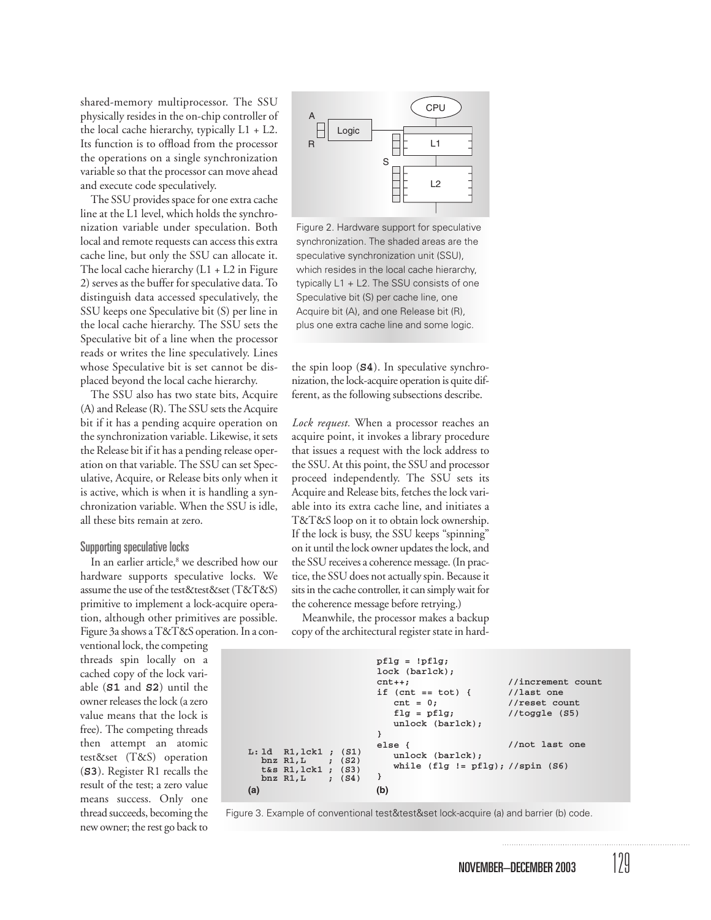shared-memory multiprocessor. The SSU physically resides in the on-chip controller of the local cache hierarchy, typically L1 + L2. Its function is to offload from the processor the operations on a single synchronization variable so that the processor can move ahead and execute code speculatively.

The SSU provides space for one extra cache line at the L1 level, which holds the synchronization variable under speculation. Both local and remote requests can access this extra cache line, but only the SSU can allocate it. The local cache hierarchy (L1 + L2 in Figure 2) serves as the buffer for speculative data. To distinguish data accessed speculatively, the SSU keeps one Speculative bit (S) per line in the local cache hierarchy. The SSU sets the Speculative bit of a line when the processor reads or writes the line speculatively. Lines whose Speculative bit is set cannot be displaced beyond the local cache hierarchy.

The SSU also has two state bits, Acquire (A) and Release (R). The SSU sets the Acquire bit if it has a pending acquire operation on the synchronization variable. Likewise, it sets the Release bit if it has a pending release operation on that variable. The SSU can set Speculative, Acquire, or Release bits only when it is active, which is when it is handling a synchronization variable. When the SSU is idle, all these bits remain at zero.

#### Supporting speculative locks

In an earlier article,<sup>8</sup> we described how our hardware supports speculative locks. We assume the use of the test&test&set (T&T&S) primitive to implement a lock-acquire operation, although other primitives are possible. Figure 3a shows a T&T&S operation. In a con-

ventional lock, the competing threads spin locally on a cached copy of the lock variable (S1 and S2) until the owner releases the lock (a zero value means that the lock is free). The competing threads then attempt an atomic test&set (T&S) operation (S3). Register R1 recalls the result of the test; a zero value means success. Only one thread succeeds, becoming the new owner; the rest go back to



Figure 2. Hardware support for speculative synchronization. The shaded areas are the speculative synchronization unit (SSU), which resides in the local cache hierarchy, typically L1 + L2. The SSU consists of one Speculative bit (S) per cache line, one Acquire bit (A), and one Release bit (R), plus one extra cache line and some logic.

the spin loop (S4). In speculative synchronization, the lock-acquire operation is quite different, as the following subsections describe.

*Lock request.* When a processor reaches an acquire point, it invokes a library procedure that issues a request with the lock address to the SSU. At this point, the SSU and processor proceed independently. The SSU sets its Acquire and Release bits, fetches the lock variable into its extra cache line, and initiates a T&T&S loop on it to obtain lock ownership. If the lock is busy, the SSU keeps "spinning" on it until the lock owner updates the lock, and the SSU receives a coherence message. (In practice, the SSU does not actually spin. Because it sits in the cache controller, it can simply wait for the coherence message before retrying.)

Meanwhile, the processor makes a backup copy of the architectural register state in hard-

```
L: 1d R1, 1ck1 ; (S1)<br>bnz R1, L ; (S2)
  bnz R1, L ; (S2)<br>t&s R1, lck1 ; (S3)
  t&s R1, lck1 ; (S3)<br>bnz R1, L ; (S4)bnz R1,L;
(a) (b)
                           pflg = !pflg;lock (barlck);
                           cnt++if (cnt == tot) {
                              cnt = 0;flg = pflg; unlock (barlck);
                           }
                           else {
                               unlock (barlck);
                               while (flg != pflg); //spin (S6)
                           }
                                                       //increment count
                                                       //last one
                                                       //reset count
                                                       //toggle (S5)
                                                       //not last one
```
Figure 3. Example of conventional test&test&set lock-acquire (a) and barrier (b) code.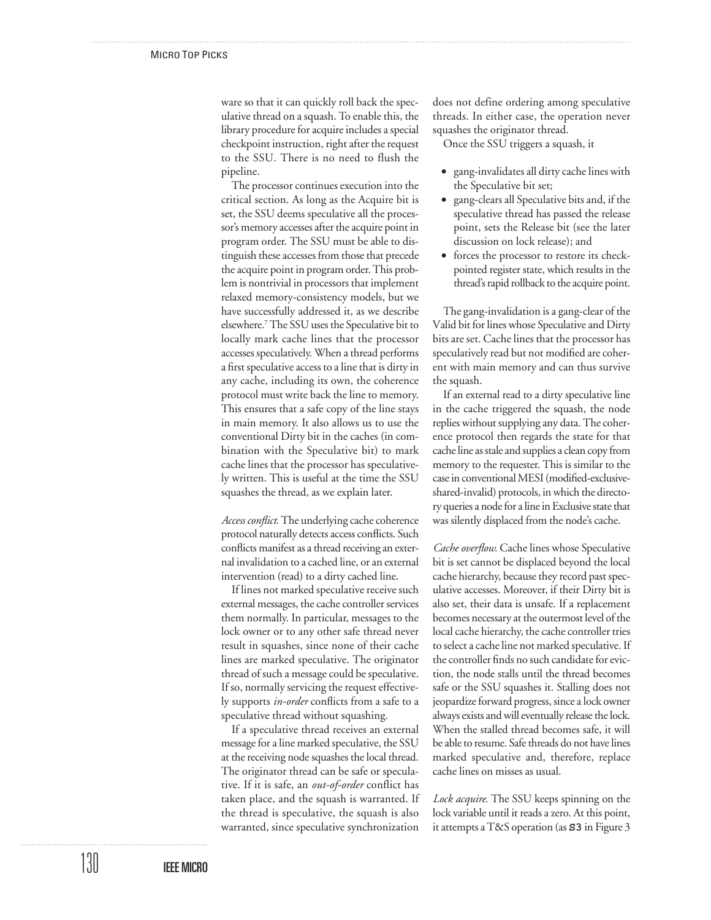ware so that it can quickly roll back the speculative thread on a squash. To enable this, the library procedure for acquire includes a special checkpoint instruction, right after the request to the SSU. There is no need to flush the pipeline.

The processor continues execution into the critical section. As long as the Acquire bit is set, the SSU deems speculative all the processor's memory accesses after the acquire point in program order. The SSU must be able to distinguish these accesses from those that precede the acquire point in program order. This problem is nontrivial in processors that implement relaxed memory-consistency models, but we have successfully addressed it, as we describe elsewhere.7The SSU uses the Speculative bit to locally mark cache lines that the processor accesses speculatively. When a thread performs a first speculative access to a line that is dirty in any cache, including its own, the coherence protocol must write back the line to memory. This ensures that a safe copy of the line stays in main memory. It also allows us to use the conventional Dirty bit in the caches (in combination with the Speculative bit) to mark cache lines that the processor has speculatively written. This is useful at the time the SSU squashes the thread, as we explain later.

*Access conflict.* The underlying cache coherence protocol naturally detects access conflicts. Such conflicts manifest as a thread receiving an external invalidation to a cached line, or an external intervention (read) to a dirty cached line.

If lines not marked speculative receive such external messages, the cache controller services them normally. In particular, messages to the lock owner or to any other safe thread never result in squashes, since none of their cache lines are marked speculative. The originator thread of such a message could be speculative. If so, normally servicing the request effectively supports *in-order* conflicts from a safe to a speculative thread without squashing.

If a speculative thread receives an external message for a line marked speculative, the SSU at the receiving node squashes the local thread. The originator thread can be safe or speculative. If it is safe, an *out-of-order* conflict has taken place, and the squash is warranted. If the thread is speculative, the squash is also warranted, since speculative synchronization

does not define ordering among speculative threads. In either case, the operation never squashes the originator thread.

Once the SSU triggers a squash, it

- gang-invalidates all dirty cache lines with the Speculative bit set;
- gang-clears all Speculative bits and, if the speculative thread has passed the release point, sets the Release bit (see the later discussion on lock release); and
- forces the processor to restore its checkpointed register state, which results in the thread's rapid rollback to the acquire point.

The gang-invalidation is a gang-clear of the Valid bit for lines whose Speculative and Dirty bits are set. Cache lines that the processor has speculatively read but not modified are coherent with main memory and can thus survive the squash.

If an external read to a dirty speculative line in the cache triggered the squash, the node replies without supplying any data. The coherence protocol then regards the state for that cache line as stale and supplies a clean copy from memory to the requester. This is similar to the case in conventional MESI (modified-exclusiveshared-invalid) protocols, in which the directory queries a node for a line in Exclusive state that was silently displaced from the node's cache.

*Cache overflow.* Cache lines whose Speculative bit is set cannot be displaced beyond the local cache hierarchy, because they record past speculative accesses. Moreover, if their Dirty bit is also set, their data is unsafe. If a replacement becomes necessary at the outermost level of the local cache hierarchy, the cache controller tries to select a cache line not marked speculative. If the controller finds no such candidate for eviction, the node stalls until the thread becomes safe or the SSU squashes it. Stalling does not jeopardize forward progress, since a lock owner always exists and will eventually release the lock. When the stalled thread becomes safe, it will be able to resume. Safe threads do not have lines marked speculative and, therefore, replace cache lines on misses as usual.

*Lock acquire.* The SSU keeps spinning on the lock variable until it reads a zero. At this point, it attempts a T&S operation (as S3 in Figure 3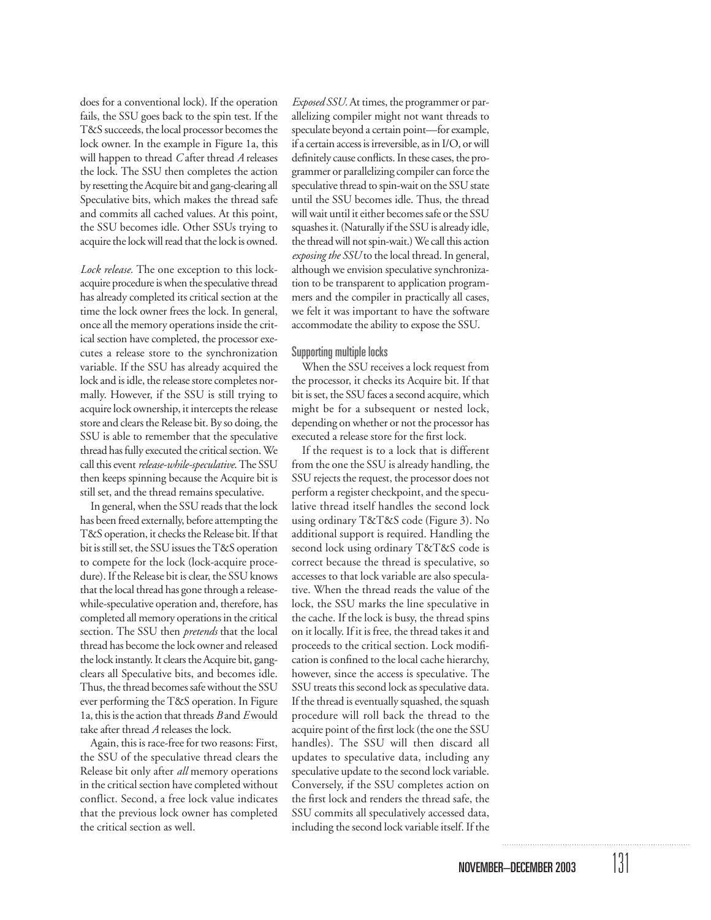does for a conventional lock). If the operation fails, the SSU goes back to the spin test. If the T&S succeeds, the local processor becomes the lock owner. In the example in Figure 1a, this will happen to thread *C* after thread *A* releases the lock. The SSU then completes the action by resetting the Acquire bit and gang-clearing all Speculative bits, which makes the thread safe and commits all cached values. At this point, the SSU becomes idle. Other SSUs trying to acquire the lock will read that the lock is owned.

*Lock release.* The one exception to this lockacquire procedure is when the speculative thread has already completed its critical section at the time the lock owner frees the lock. In general, once all the memory operations inside the critical section have completed, the processor executes a release store to the synchronization variable. If the SSU has already acquired the lock and is idle, the release store completes normally. However, if the SSU is still trying to acquire lock ownership, it intercepts the release store and clears the Release bit. By so doing, the SSU is able to remember that the speculative thread has fully executed the critical section. We call this event *release-while-speculative*. The SSU then keeps spinning because the Acquire bit is still set, and the thread remains speculative.

In general, when the SSU reads that the lock has been freed externally, before attempting the T&S operation, it checks the Release bit. If that bit is still set, the SSU issues the T&S operation to compete for the lock (lock-acquire procedure). If the Release bit is clear, the SSU knows that the local thread has gone through a releasewhile-speculative operation and, therefore, has completed all memory operations in the critical section. The SSU then *pretends* that the local thread has become the lock owner and released the lock instantly. It clears the Acquire bit, gangclears all Speculative bits, and becomes idle. Thus, the thread becomes safe without the SSU ever performing the T&S operation. In Figure 1a, this is the action that threads *B* and *E*would take after thread *A* releases the lock.

Again, this is race-free for two reasons: First, the SSU of the speculative thread clears the Release bit only after *all* memory operations in the critical section have completed without conflict. Second, a free lock value indicates that the previous lock owner has completed the critical section as well.

*Exposed SSU.* At times, the programmer or parallelizing compiler might not want threads to speculate beyond a certain point—for example, if a certain access is irreversible, as in I/O, or will definitely cause conflicts. In these cases, the programmer or parallelizing compiler can force the speculative thread to spin-wait on the SSU state until the SSU becomes idle. Thus, the thread will wait until it either becomes safe or the SSU squashes it. (Naturally if the SSU is already idle, the thread will not spin-wait.) We call this action *exposing the SSU* to the local thread. In general, although we envision speculative synchronization to be transparent to application programmers and the compiler in practically all cases, we felt it was important to have the software accommodate the ability to expose the SSU.

## Supporting multiple locks

When the SSU receives a lock request from the processor, it checks its Acquire bit. If that bit is set, the SSU faces a second acquire, which might be for a subsequent or nested lock, depending on whether or not the processor has executed a release store for the first lock.

If the request is to a lock that is different from the one the SSU is already handling, the SSU rejects the request, the processor does not perform a register checkpoint, and the speculative thread itself handles the second lock using ordinary T&T&S code (Figure 3). No additional support is required. Handling the second lock using ordinary T&T&S code is correct because the thread is speculative, so accesses to that lock variable are also speculative. When the thread reads the value of the lock, the SSU marks the line speculative in the cache. If the lock is busy, the thread spins on it locally. If it is free, the thread takes it and proceeds to the critical section. Lock modification is confined to the local cache hierarchy, however, since the access is speculative. The SSU treats this second lock as speculative data. If the thread is eventually squashed, the squash procedure will roll back the thread to the acquire point of the first lock (the one the SSU handles). The SSU will then discard all updates to speculative data, including any speculative update to the second lock variable. Conversely, if the SSU completes action on the first lock and renders the thread safe, the SSU commits all speculatively accessed data, including the second lock variable itself. If the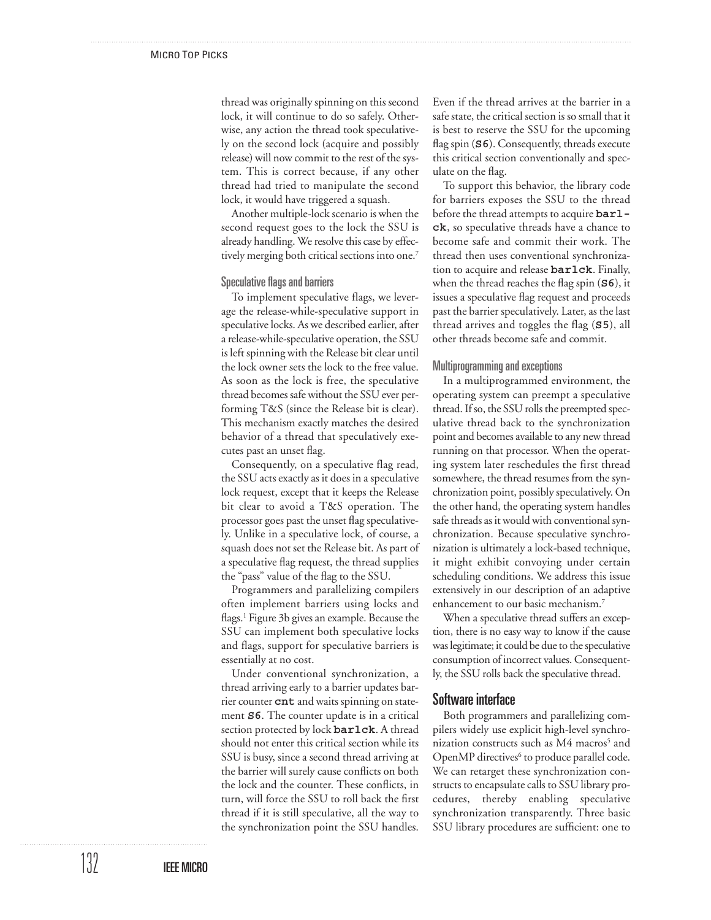thread was originally spinning on this second lock, it will continue to do so safely. Otherwise, any action the thread took speculatively on the second lock (acquire and possibly release) will now commit to the rest of the system. This is correct because, if any other thread had tried to manipulate the second lock, it would have triggered a squash.

Another multiple-lock scenario is when the second request goes to the lock the SSU is already handling. We resolve this case by effectively merging both critical sections into one.<sup>7</sup>

#### Speculative flags and barriers

To implement speculative flags, we leverage the release-while-speculative support in speculative locks. As we described earlier, after a release-while-speculative operation, the SSU is left spinning with the Release bit clear until the lock owner sets the lock to the free value. As soon as the lock is free, the speculative thread becomes safe without the SSU ever performing T&S (since the Release bit is clear). This mechanism exactly matches the desired behavior of a thread that speculatively executes past an unset flag.

Consequently, on a speculative flag read, the SSU acts exactly as it does in a speculative lock request, except that it keeps the Release bit clear to avoid a T&S operation. The processor goes past the unset flag speculatively. Unlike in a speculative lock, of course, a squash does not set the Release bit. As part of a speculative flag request, the thread supplies the "pass" value of the flag to the SSU.

Programmers and parallelizing compilers often implement barriers using locks and flags.1 Figure 3b gives an example. Because the SSU can implement both speculative locks and flags, support for speculative barriers is essentially at no cost.

Under conventional synchronization, a thread arriving early to a barrier updates barrier counter cnt and waits spinning on statement S6. The counter update is in a critical section protected by lock barlck. A thread should not enter this critical section while its SSU is busy, since a second thread arriving at the barrier will surely cause conflicts on both the lock and the counter. These conflicts, in turn, will force the SSU to roll back the first thread if it is still speculative, all the way to the synchronization point the SSU handles.

Even if the thread arrives at the barrier in a safe state, the critical section is so small that it is best to reserve the SSU for the upcoming flag spin (S6). Consequently, threads execute this critical section conventionally and speculate on the flag.

To support this behavior, the library code for barriers exposes the SSU to the thread before the thread attempts to acquire barlck, so speculative threads have a chance to become safe and commit their work. The thread then uses conventional synchronization to acquire and release **barlck**. Finally, when the thread reaches the flag spin  $(S6)$ , it issues a speculative flag request and proceeds past the barrier speculatively. Later, as the last thread arrives and toggles the flag (S5), all other threads become safe and commit.

## Multiprogramming and exceptions

In a multiprogrammed environment, the operating system can preempt a speculative thread. If so, the SSU rolls the preempted speculative thread back to the synchronization point and becomes available to any new thread running on that processor. When the operating system later reschedules the first thread somewhere, the thread resumes from the synchronization point, possibly speculatively. On the other hand, the operating system handles safe threads as it would with conventional synchronization. Because speculative synchronization is ultimately a lock-based technique, it might exhibit convoying under certain scheduling conditions. We address this issue extensively in our description of an adaptive enhancement to our basic mechanism.<sup>7</sup>

When a speculative thread suffers an exception, there is no easy way to know if the cause was legitimate; it could be due to the speculative consumption of incorrect values. Consequently, the SSU rolls back the speculative thread.

## Software interface

Both programmers and parallelizing compilers widely use explicit high-level synchronization constructs such as M4 macros<sup>5</sup> and OpenMP directives<sup>6</sup> to produce parallel code. We can retarget these synchronization constructs to encapsulate calls to SSU library procedures, thereby enabling speculative synchronization transparently. Three basic SSU library procedures are sufficient: one to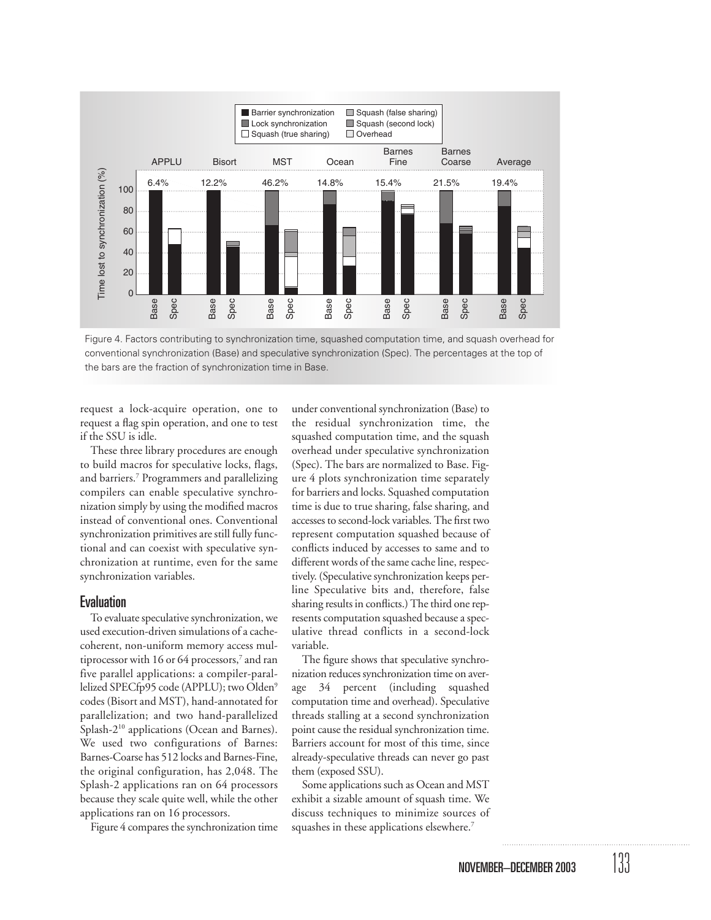



request a lock-acquire operation, one to request a flag spin operation, and one to test if the SSU is idle.

These three library procedures are enough to build macros for speculative locks, flags, and barriers.7 Programmers and parallelizing compilers can enable speculative synchronization simply by using the modified macros instead of conventional ones. Conventional synchronization primitives are still fully functional and can coexist with speculative synchronization at runtime, even for the same synchronization variables.

# **Evaluation**

To evaluate speculative synchronization, we used execution-driven simulations of a cachecoherent, non-uniform memory access multiprocessor with 16 or 64 processors,<sup>7</sup> and ran five parallel applications: a compiler-parallelized SPECfp95 code (APPLU); two Olden<sup>9</sup> codes (Bisort and MST), hand-annotated for parallelization; and two hand-parallelized Splash-2<sup>10</sup> applications (Ocean and Barnes). We used two configurations of Barnes: Barnes-Coarse has 512 locks and Barnes-Fine, the original configuration, has 2,048. The Splash-2 applications ran on 64 processors because they scale quite well, while the other applications ran on 16 processors.

Figure 4 compares the synchronization time

under conventional synchronization (Base) to the residual synchronization time, the squashed computation time, and the squash overhead under speculative synchronization (Spec). The bars are normalized to Base. Figure 4 plots synchronization time separately for barriers and locks. Squashed computation time is due to true sharing, false sharing, and accesses to second-lock variables. The first two represent computation squashed because of conflicts induced by accesses to same and to different words of the same cache line, respectively. (Speculative synchronization keeps perline Speculative bits and, therefore, false sharing results in conflicts.) The third one represents computation squashed because a speculative thread conflicts in a second-lock variable.

The figure shows that speculative synchronization reduces synchronization time on average 34 percent (including squashed computation time and overhead). Speculative threads stalling at a second synchronization point cause the residual synchronization time. Barriers account for most of this time, since already-speculative threads can never go past them (exposed SSU).

Some applications such as Ocean and MST exhibit a sizable amount of squash time. We discuss techniques to minimize sources of squashes in these applications elsewhere.<sup>7</sup>